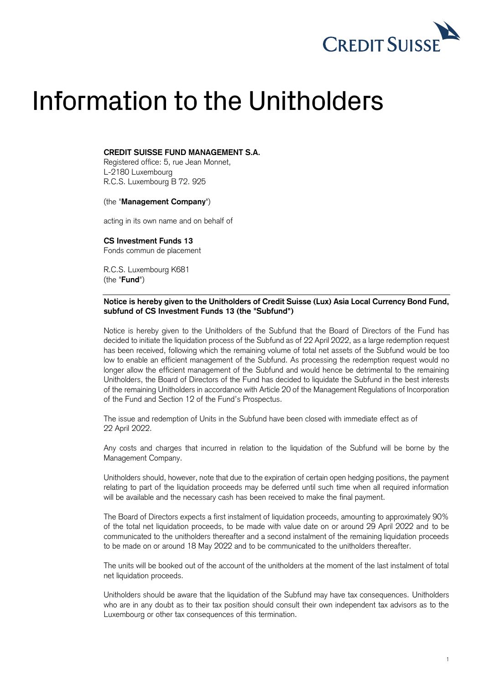

# Information to the Unitholders

## **CREDIT SUISSE FUND MANAGEMENT S.A.**

Registered office: 5, rue Jean Monnet, L-2180 Luxembourg R.C.S. Luxembourg B 72. 925

#### (the "**Management Company**")

acting in its own name and on behalf of

**CS Investment Funds 13** Fonds commun de placement

R.C.S. Luxembourg K681 (the "**Fund**")

## **Notice is hereby given to the Unitholders of Credit Suisse (Lux) Asia Local Currency Bond Fund, subfund of CS Investment Funds 13 (the "Subfund")**

Notice is hereby given to the Unitholders of the Subfund that the Board of Directors of the Fund has decided to initiate the liquidation process of the Subfund as of 22 April 2022, as a large redemption request has been received, following which the remaining volume of total net assets of the Subfund would be too low to enable an efficient management of the Subfund. As processing the redemption request would no longer allow the efficient management of the Subfund and would hence be detrimental to the remaining Unitholders, the Board of Directors of the Fund has decided to liquidate the Subfund in the best interests of the remaining Unitholders in accordance with Article 20 of the Management Regulations of Incorporation of the Fund and Section 12 of the Fund's Prospectus.

The issue and redemption of Units in the Subfund have been closed with immediate effect as of 22 April 2022.

Any costs and charges that incurred in relation to the liquidation of the Subfund will be borne by the Management Company.

Unitholders should, however, note that due to the expiration of certain open hedging positions, the payment relating to part of the liquidation proceeds may be deferred until such time when all required information will be available and the necessary cash has been received to make the final payment.

The Board of Directors expects a first instalment of liquidation proceeds, amounting to approximately 90% of the total net liquidation proceeds, to be made with value date on or around 29 April 2022 and to be communicated to the unitholders thereafter and a second instalment of the remaining liquidation proceeds to be made on or around 18 May 2022 and to be communicated to the unitholders thereafter.

The units will be booked out of the account of the unitholders at the moment of the last instalment of total net liquidation proceeds.

Unitholders should be aware that the liquidation of the Subfund may have tax consequences. Unitholders who are in any doubt as to their tax position should consult their own independent tax advisors as to the Luxembourg or other tax consequences of this termination.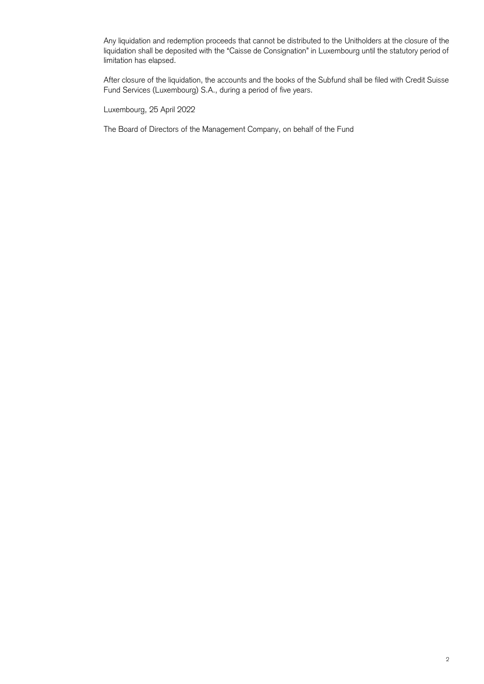Any liquidation and redemption proceeds that cannot be distributed to the Unitholders at the closure of the liquidation shall be deposited with the "Caisse de Consignation" in Luxembourg until the statutory period of limitation has elapsed.

After closure of the liquidation, the accounts and the books of the Subfund shall be filed with Credit Suisse Fund Services (Luxembourg) S.A., during a period of five years.

Luxembourg, 25 April 2022

The Board of Directors of the Management Company, on behalf of the Fund